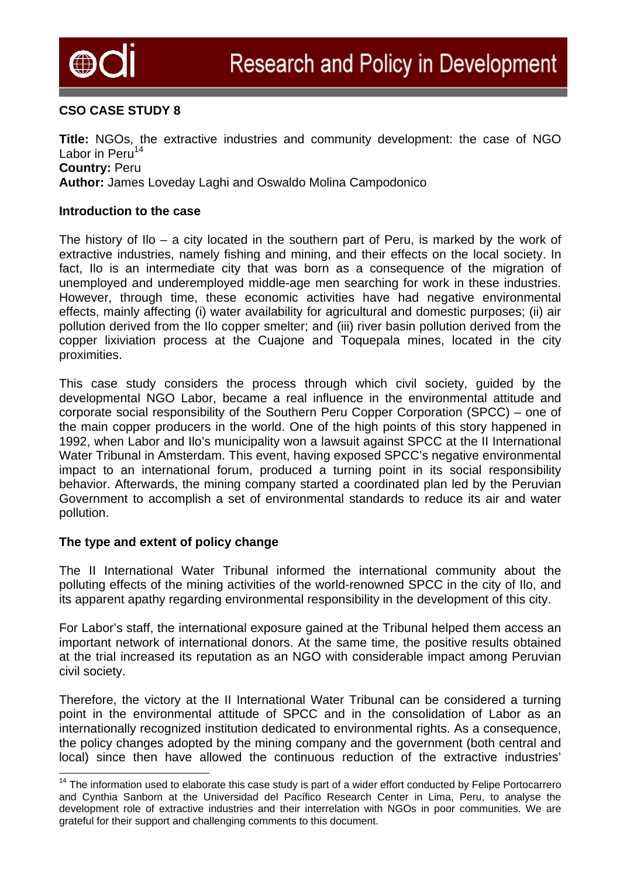

# **CSO CASE STUDY 8**

**Title:** NGOs, the extractive industries and community development: the case of NGO Labor in Peru<sup>14</sup> **Country:** Peru **Author:** James Loveday Laghi and Oswaldo Molina Campodonico

#### **Introduction to the case**

The history of Ilo – a city located in the southern part of Peru, is marked by the work of extractive industries, namely fishing and mining, and their effects on the local society. In fact, Ilo is an intermediate city that was born as a consequence of the migration of unemployed and underemployed middle-age men searching for work in these industries. However, through time, these economic activities have had negative environmental effects, mainly affecting (i) water availability for agricultural and domestic purposes; (ii) air pollution derived from the Ilo copper smelter; and (iii) river basin pollution derived from the copper lixiviation process at the Cuajone and Toquepala mines, located in the city proximities.

This case study considers the process through which civil society, guided by the developmental NGO Labor, became a real influence in the environmental attitude and corporate social responsibility of the Southern Peru Copper Corporation (SPCC) – one of the main copper producers in the world. One of the high points of this story happened in 1992, when Labor and Ilo's municipality won a lawsuit against SPCC at the II International Water Tribunal in Amsterdam. This event, having exposed SPCC's negative environmental impact to an international forum, produced a turning point in its social responsibility behavior. Afterwards, the mining company started a coordinated plan led by the Peruvian Government to accomplish a set of environmental standards to reduce its air and water pollution.

### **The type and extent of policy change**

l

The II International Water Tribunal informed the international community about the polluting effects of the mining activities of the world-renowned SPCC in the city of Ilo, and its apparent apathy regarding environmental responsibility in the development of this city.

For Labor's staff, the international exposure gained at the Tribunal helped them access an important network of international donors. At the same time, the positive results obtained at the trial increased its reputation as an NGO with considerable impact among Peruvian civil society.

Therefore, the victory at the II International Water Tribunal can be considered a turning point in the environmental attitude of SPCC and in the consolidation of Labor as an internationally recognized institution dedicated to environmental rights. As a consequence, the policy changes adopted by the mining company and the government (both central and local) since then have allowed the continuous reduction of the extractive industries'

<span id="page-0-0"></span><sup>&</sup>lt;sup>14</sup> The information used to elaborate this case study is part of a wider effort conducted by Felipe Portocarrero and Cynthia Sanborn at the Universidad del Pacífico Research Center in Lima, Peru, to analyse the development role of extractive industries and their interrelation with NGOs in poor communities. We are grateful for their support and challenging comments to this document.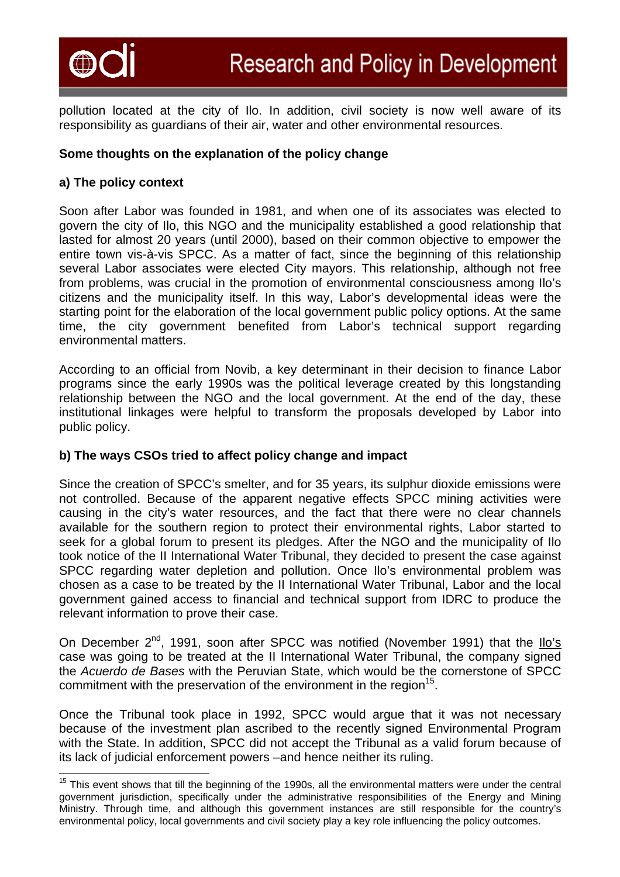

pollution located at the city of Ilo. In addition, civil society is now well aware of its responsibility as guardians of their air, water and other environmental resources.

# **Some thoughts on the explanation of the policy change**

# **a) The policy context**

Soon after Labor was founded in 1981, and when one of its associates was elected to govern the city of Ilo, this NGO and the municipality established a good relationship that lasted for almost 20 years (until 2000), based on their common objective to empower the entire town vis-à-vis SPCC. As a matter of fact, since the beginning of this relationship several Labor associates were elected City mayors. This relationship, although not free from problems, was crucial in the promotion of environmental consciousness among Ilo's citizens and the municipality itself. In this way, Labor's developmental ideas were the starting point for the elaboration of the local government public policy options. At the same time, the city government benefited from Labor's technical support regarding environmental matters.

According to an official from Novib, a key determinant in their decision to finance Labor programs since the early 1990s was the political leverage created by this longstanding relationship between the NGO and the local government. At the end of the day, these institutional linkages were helpful to transform the proposals developed by Labor into public policy.

### **b) The ways CSOs tried to affect policy change and impact**

Since the creation of SPCC's smelter, and for 35 years, its sulphur dioxide emissions were not controlled. Because of the apparent negative effects SPCC mining activities were causing in the city's water resources, and the fact that there were no clear channels available for the southern region to protect their environmental rights, Labor started to seek for a global forum to present its pledges. After the NGO and the municipality of Ilo took notice of the II International Water Tribunal, they decided to present the case against SPCC regarding water depletion and pollution. Once Ilo's environmental problem was chosen as a case to be treated by the II International Water Tribunal, Labor and the local government gained access to financial and technical support from IDRC to produce the relevant information to prove their case.

On December  $2^{nd}$ , 1991, soon after SPCC was notified (November 1991) that the  $llo's$ case was going to be treated at the II International Water Tribunal, the company signed the *Acuerdo de Bases* with the Peruvian State, which would be the cornerstone of SPCC commitment with the preservation of the environment in the region<sup>15</sup>.

Once the Tribunal took place in 1992, SPCC would argue that it was not necessary because of the investment plan ascribed to the recently signed Environmental Program with the State. In addition, SPCC did not accept the Tribunal as a valid forum because of its lack of judicial enforcement powers –and hence neither its ruling.

<span id="page-1-0"></span>l <sup>15</sup> This event shows that till the beginning of the 1990s, all the environmental matters were under the central government jurisdiction, specifically under the administrative responsibilities of the Energy and Mining Ministry. Through time, and although this government instances are still responsible for the country's environmental policy, local governments and civil society play a key role influencing the policy outcomes.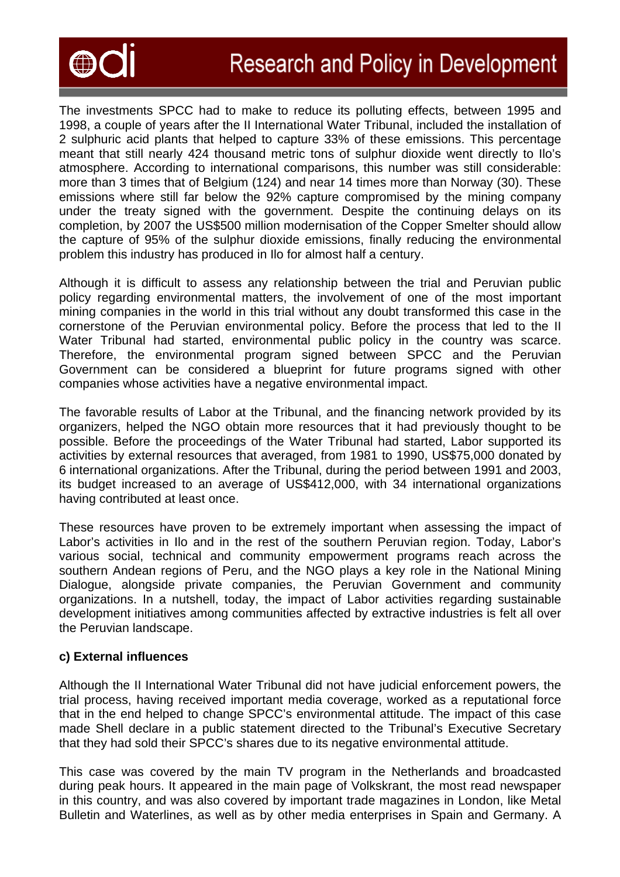

The investments SPCC had to make to reduce its polluting effects, between 1995 and 1998, a couple of years after the II International Water Tribunal, included the installation of 2 sulphuric acid plants that helped to capture 33% of these emissions. This percentage meant that still nearly 424 thousand metric tons of sulphur dioxide went directly to Ilo's atmosphere. According to international comparisons, this number was still considerable: more than 3 times that of Belgium (124) and near 14 times more than Norway (30). These emissions where still far below the 92% capture compromised by the mining company under the treaty signed with the government. Despite the continuing delays on its completion, by 2007 the US\$500 million modernisation of the Copper Smelter should allow the capture of 95% of the sulphur dioxide emissions, finally reducing the environmental problem this industry has produced in Ilo for almost half a century.

Although it is difficult to assess any relationship between the trial and Peruvian public policy regarding environmental matters, the involvement of one of the most important mining companies in the world in this trial without any doubt transformed this case in the cornerstone of the Peruvian environmental policy. Before the process that led to the II Water Tribunal had started, environmental public policy in the country was scarce. Therefore, the environmental program signed between SPCC and the Peruvian Government can be considered a blueprint for future programs signed with other companies whose activities have a negative environmental impact.

The favorable results of Labor at the Tribunal, and the financing network provided by its organizers, helped the NGO obtain more resources that it had previously thought to be possible. Before the proceedings of the Water Tribunal had started, Labor supported its activities by external resources that averaged, from 1981 to 1990, US\$75,000 donated by 6 international organizations. After the Tribunal, during the period between 1991 and 2003, its budget increased to an average of US\$412,000, with 34 international organizations having contributed at least once.

These resources have proven to be extremely important when assessing the impact of Labor's activities in Ilo and in the rest of the southern Peruvian region. Today, Labor's various social, technical and community empowerment programs reach across the southern Andean regions of Peru, and the NGO plays a key role in the National Mining Dialogue, alongside private companies, the Peruvian Government and community organizations. In a nutshell, today, the impact of Labor activities regarding sustainable development initiatives among communities affected by extractive industries is felt all over the Peruvian landscape.

### **c) External influences**

Although the II International Water Tribunal did not have judicial enforcement powers, the trial process, having received important media coverage, worked as a reputational force that in the end helped to change SPCC's environmental attitude. The impact of this case made Shell declare in a public statement directed to the Tribunal's Executive Secretary that they had sold their SPCC's shares due to its negative environmental attitude.

This case was covered by the main TV program in the Netherlands and broadcasted during peak hours. It appeared in the main page of Volkskrant, the most read newspaper in this country, and was also covered by important trade magazines in London, like Metal Bulletin and Waterlines, as well as by other media enterprises in Spain and Germany. A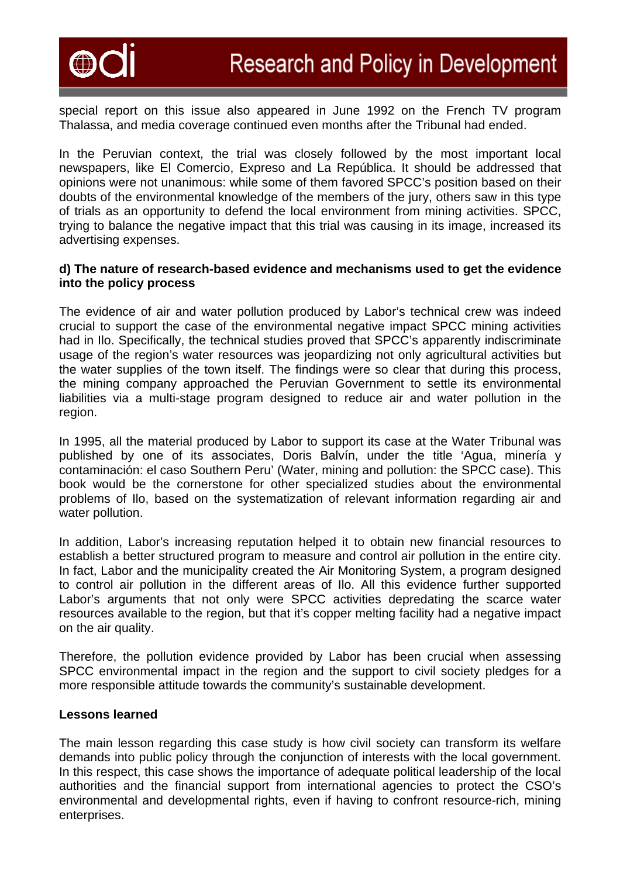

special report on this issue also appeared in June 1992 on the French TV program Thalassa, and media coverage continued even months after the Tribunal had ended.

In the Peruvian context, the trial was closely followed by the most important local newspapers, like El Comercio, Expreso and La República. It should be addressed that opinions were not unanimous: while some of them favored SPCC's position based on their doubts of the environmental knowledge of the members of the jury, others saw in this type of trials as an opportunity to defend the local environment from mining activities. SPCC, trying to balance the negative impact that this trial was causing in its image, increased its advertising expenses.

#### **d) The nature of research-based evidence and mechanisms used to get the evidence into the policy process**

The evidence of air and water pollution produced by Labor's technical crew was indeed crucial to support the case of the environmental negative impact SPCC mining activities had in Ilo. Specifically, the technical studies proved that SPCC's apparently indiscriminate usage of the region's water resources was jeopardizing not only agricultural activities but the water supplies of the town itself. The findings were so clear that during this process, the mining company approached the Peruvian Government to settle its environmental liabilities via a multi-stage program designed to reduce air and water pollution in the region.

In 1995, all the material produced by Labor to support its case at the Water Tribunal was published by one of its associates, Doris Balvín, under the title 'Agua, minería y contaminación: el caso Southern Peru' (Water, mining and pollution: the SPCC case). This book would be the cornerstone for other specialized studies about the environmental problems of Ilo, based on the systematization of relevant information regarding air and water pollution.

In addition, Labor's increasing reputation helped it to obtain new financial resources to establish a better structured program to measure and control air pollution in the entire city. In fact, Labor and the municipality created the Air Monitoring System, a program designed to control air pollution in the different areas of Ilo. All this evidence further supported Labor's arguments that not only were SPCC activities depredating the scarce water resources available to the region, but that it's copper melting facility had a negative impact on the air quality.

Therefore, the pollution evidence provided by Labor has been crucial when assessing SPCC environmental impact in the region and the support to civil society pledges for a more responsible attitude towards the community's sustainable development.

### **Lessons learned**

The main lesson regarding this case study is how civil society can transform its welfare demands into public policy through the conjunction of interests with the local government. In this respect, this case shows the importance of adequate political leadership of the local authorities and the financial support from international agencies to protect the CSO's environmental and developmental rights, even if having to confront resource-rich, mining enterprises.